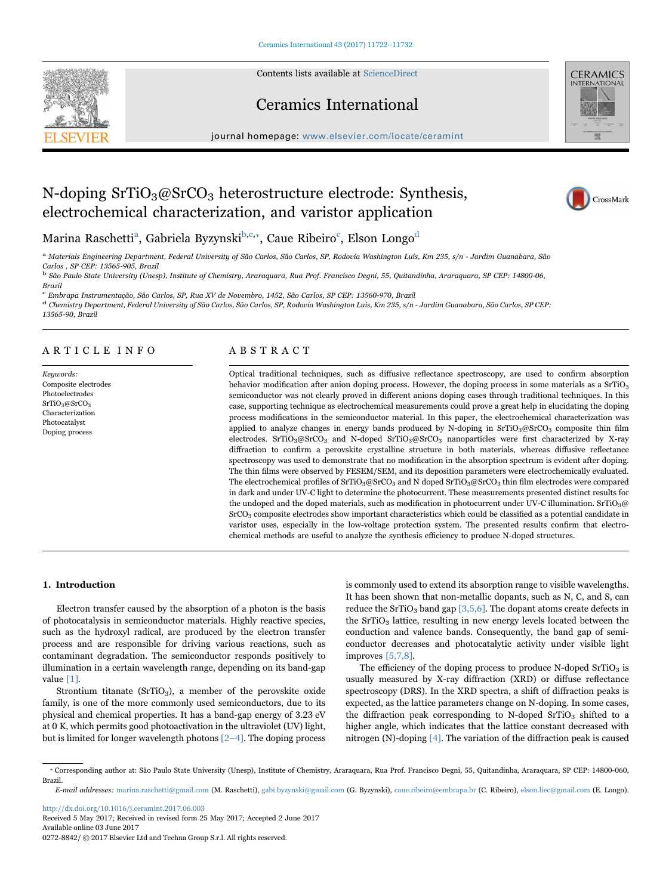Contents lists available at [ScienceDirect](http://www.sciencedirect.com/science/journal/02728842)







 $j$ over. We however the complete  $c$ 

# N-doping  $SrTiO<sub>3</sub>@SrCO<sub>3</sub> heterostructure electrode: Synthesis,$ electrochemical characterization, and varistor application



Marina Raschetti<sup>a</sup>[, Gabriela Byzynski](#page-0-0) $^{\text{b,c},*}$  $^{\text{b,c},*}$  $^{\text{b,c},*}$ [, Caue Ribeiro](#page-0-3) $^{\text{c}}$ [, Elson Longo](#page-0-2) $^{\text{d}}$  $^{\text{d}}$  $^{\text{d}}$ 

<span id="page-0-0"></span>a Materials Engineering Department, Federal University of São Carlos, São Carlos, SP, Rodovia Washington Luís, Km 235, s/n - Jardim Guanabara, São Carlos , SP CEP: 13565-905, Brazil

<span id="page-0-1"></span><sup>b</sup> São Paulo State University (Unesp), Institute of Chemistry, Araraquara, Rua Prof. Francisco Degni, 55, Quitandinha, Araraquara, SP CEP: 14800-06, Brazil

<span id="page-0-2"></span><sup>c</sup> Embrapa Instrumentação, São Carlos, SP, Rua XV de Novembro, 1452, São Carlos, SP CEP: 13560-970, Brazil

<span id="page-0-4"></span><sup>d</sup> Chemistry Department, Federal University of São Carlos, São Carlos, SP, Rodovia Washington Luís, Km 235, s/n - Jardim Guanabara, São Carlos, SP CEP:

13565-90, Brazil

# ARTICLE INFO

Keywords: Composite electrodes Photoelectrodes SrTiO3@SrCO3 Characterization Photocatalyst Doping process

## ABSTRACT

Optical traditional techniques, such as diffusive reflectance spectroscopy, are used to confirm absorption behavior modification after anion doping process. However, the doping process in some materials as a SrTiO<sub>3</sub> semiconductor was not clearly proved in different anions doping cases through traditional techniques. In this case, supporting technique as electrochemical measurements could prove a great help in elucidating the doping process modifications in the semiconductor material. In this paper, the electrochemical characterization was applied to analyze changes in energy bands produced by N-doping in  $SrTiO_3@SrCO_3$  composite thin film electrodes. SrTiO<sub>3</sub>@SrCO<sub>3</sub> and N-doped SrTiO<sub>3</sub>@SrCO<sub>3</sub> nanoparticles were first characterized by X-ray diffraction to confirm a perovskite crystalline structure in both materials, whereas diffusive reflectance spectroscopy was used to demonstrate that no modification in the absorption spectrum is evident after doping. The thin films were observed by FESEM/SEM, and its deposition parameters were electrochemically evaluated. The electrochemical profiles of SrTiO<sub>3</sub>@SrCO<sub>3</sub> and N doped SrTiO<sub>3</sub>@SrCO<sub>3</sub> thin film electrodes were compared in dark and under UV-C light to determine the photocurrent. These measurements presented distinct results for the undoped and the doped materials, such as modification in photocurrent under UV-C illumination. SrTiO<sub>3</sub>@ SrCO3 composite electrodes show important characteristics which could be classified as a potential candidate in varistor uses, especially in the low-voltage protection system. The presented results confirm that electrochemical methods are useful to analyze the synthesis efficiency to produce N-doped structures.

## 1. Introduction

Electron transfer caused by the absorption of a photon is the basis of photocatalysis in semiconductor materials. Highly reactive species, such as the hydroxyl radical, are produced by the electron transfer process and are responsible for driving various reactions, such as contaminant degradation. The semiconductor responds positively to illumination in a certain wavelength range, depending on its band-gap value [\[1\]](#page-9-0).

Strontium titanate (SrTiO<sub>3</sub>), a member of the perovskite oxide family, is one of the more commonly used semiconductors, due to its physical and chemical properties. It has a band-gap energy of 3.23 eV at 0 K, which permits good photoactivation in the ultraviolet (UV) light, but is limited for longer wavelength photons [2–[4\].](#page-9-1) The doping process

is commonly used to extend its absorption range to visible wavelengths. It has been shown that non-metallic dopants, such as N, C, and S, can reduce the SrTiO<sub>3</sub> band gap  $[3,5,6]$ . The dopant atoms create defects in the  $SrTiO<sub>3</sub>$  lattice, resulting in new energy levels located between the conduction and valence bands. Consequently, the band gap of semiconductor decreases and photocatalytic activity under visible light improves [\[5,7,8\].](#page-9-3)

The efficiency of the doping process to produce  $N$ -doped  $SrTiO<sub>3</sub>$  is usually measured by X-ray diffraction (XRD) or diffuse reflectance spectroscopy (DRS). In the XRD spectra, a shift of diffraction peaks is expected, as the lattice parameters change on N-doping. In some cases, the diffraction peak corresponding to N-doped  $SrTiO<sub>3</sub>$  shifted to a higher angle, which indicates that the lattice constant decreased with nitrogen (N)-doping [\[4\]](#page-9-4). The variation of the diffraction peak is caused

<span id="page-0-3"></span>⁎ Corresponding author at: São Paulo State University (Unesp), Institute of Chemistry, Araraquara, Rua Prof. Francisco Degni, 55, Quitandinha, Araraquara, SP CEP: 14800-060, Brazil.

E-mail addresses: marina.raschetti@gmail.com (M. Raschetti), gabi.byzynski@gmail.com (G. Byzynski), caue.ribeiro@embrapa.br (C. Ribeiro), elson.liec@gmail.com (E. Longo).

<http://dx.doi.org/10.1016/j.ceramint.2017.06.003> Received 5 May 2017; Received in revised form 25 May 2017; Accepted 2 June 2017 Available online 03 June 2017

0272-8842/ © 2017 Elsevier Ltd and Techna Group S.r.l. All rights reserved.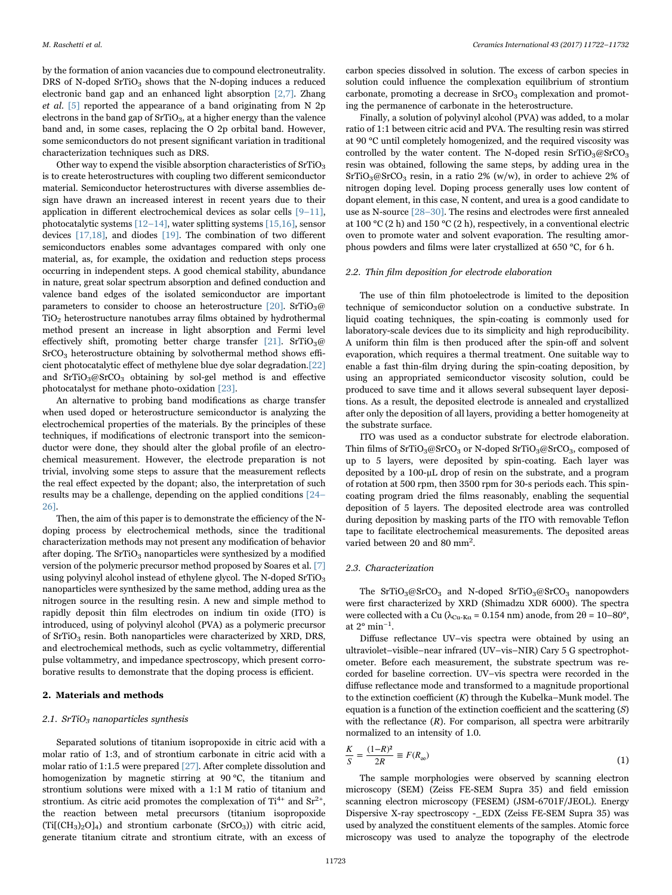by the formation of anion vacancies due to compound electroneutrality. DRS of N-doped  $SrTiO<sub>3</sub>$  shows that the N-doping induces a reduced electronic band gap and an enhanced light absorption [\[2,7\]](#page-9-1). Zhang et al. [\[5\]](#page-9-3) reported the appearance of a band originating from N 2p electrons in the band gap of  $SrTiO<sub>3</sub>$ , at a higher energy than the valence band and, in some cases, replacing the O 2p orbital band. However, some semiconductors do not present significant variation in traditional characterization techniques such as DRS.

Other way to expend the visible absorption characteristics of  $SrTiO<sub>3</sub>$ is to create heterostructures with coupling two different semiconductor material. Semiconductor heterostructures with diverse assemblies design have drawn an increased interest in recent years due to their application in different electrochemical devices as solar cells [9–[11\],](#page-9-5) photocatalytic systems [\[12](#page-9-6)–14], water splitting systems [\[15,16\],](#page-9-7) sensor devices [\[17,18\]](#page-9-8), and diodes [\[19\].](#page-9-9) The combination of two different semiconductors enables some advantages compared with only one material, as, for example, the oxidation and reduction steps process occurring in independent steps. A good chemical stability, abundance in nature, great solar spectrum absorption and defined conduction and valence band edges of the isolated semiconductor are important parameters to consider to choose an heterostructure  $[20]$ . SrTiO<sub>3</sub>@ TiO2 heterostructure nanotubes array films obtained by hydrothermal method present an increase in light absorption and Fermi level effectively shift, promoting better charge transfer [\[21\]](#page-9-11). SrTiO<sub>3</sub>@ SrCO3 heterostructure obtaining by solvothermal method shows efficient photocatalytic effect of methylene blue dye solar degradation.[\[22\]](#page-9-12) and  $SrTiO<sub>3</sub>@SrCO<sub>3</sub> obtaining by sol-gel method is and effective$ photocatalyst for methane photo-oxidation [\[23\]](#page-9-13).

An alternative to probing band modifications as charge transfer when used doped or heterostructure semiconductor is analyzing the electrochemical properties of the materials. By the principles of these techniques, if modifications of electronic transport into the semiconductor were done, they should alter the global profile of an electrochemical measurement. However, the electrode preparation is not trivial, involving some steps to assure that the measurement reflects the real effect expected by the dopant; also, the interpretation of such results may be a challenge, depending on the applied conditions [\[24](#page-9-14)– [26\].](#page-9-14)

Then, the aim of this paper is to demonstrate the efficiency of the Ndoping process by electrochemical methods, since the traditional characterization methods may not present any modification of behavior after doping. The  $SrTiO<sub>3</sub>$  nanoparticles were synthesized by a modified version of the polymeric precursor method proposed by Soares et al. [\[7\]](#page-9-15) using polyvinyl alcohol instead of ethylene glycol. The N-doped  $SrTiO<sub>3</sub>$ nanoparticles were synthesized by the same method, adding urea as the nitrogen source in the resulting resin. A new and simple method to rapidly deposit thin film electrodes on indium tin oxide (ITO) is introduced, using of polyvinyl alcohol (PVA) as a polymeric precursor of  $SrTiO<sub>3</sub>$  resin. Both nanoparticles were characterized by XRD, DRS, and electrochemical methods, such as cyclic voltammetry, differential pulse voltammetry, and impedance spectroscopy, which present corroborative results to demonstrate that the doping process is efficient.

## 2. Materials and methods

#### 2.1. SrTiO<sub>3</sub> nanoparticles synthesis

Separated solutions of titanium isopropoxide in citric acid with a molar ratio of 1:3, and of strontium carbonate in citric acid with a molar ratio of 1:1.5 were prepared [\[27\]](#page-9-16). After complete dissolution and homogenization by magnetic stirring at 90 °C, the titanium and strontium solutions were mixed with a 1:1 M ratio of titanium and strontium. As citric acid promotes the complexation of  $Ti^{4+}$  and  $Sr^{2+}$ , the reaction between metal precursors (titanium isopropoxide  $(Ti[(CH<sub>3</sub>)<sub>2</sub>O]<sub>4</sub>)$  and strontium carbonate  $(SrCO<sub>3</sub>)$ ) with citric acid, generate titanium citrate and strontium citrate, with an excess of

carbon species dissolved in solution. The excess of carbon species in solution could influence the complexation equilibrium of strontium carbonate, promoting a decrease in  $SrCO<sub>3</sub>$  complexation and promoting the permanence of carbonate in the heterostructure.

Finally, a solution of polyvinyl alcohol (PVA) was added, to a molar ratio of 1:1 between citric acid and PVA. The resulting resin was stirred at 90 °C until completely homogenized, and the required viscosity was controlled by the water content. The N-doped resin  $SrTiO<sub>3</sub>@SrCO<sub>3</sub>$ resin was obtained, following the same steps, by adding urea in the  $SrTiO<sub>3</sub>@SrCO<sub>3</sub>$  resin, in a ratio 2% (w/w), in order to achieve 2% of nitrogen doping level. Doping process generally uses low content of dopant element, in this case, N content, and urea is a good candidate to use as N-source [28–[30\].](#page-9-17) The resins and electrodes were first annealed at 100 °C (2 h) and 150 °C (2 h), respectively, in a conventional electric oven to promote water and solvent evaporation. The resulting amorphous powders and films were later crystallized at 650 °C, for 6 h.

## 2.2. Thin film deposition for electrode elaboration

The use of thin film photoelectrode is limited to the deposition technique of semiconductor solution on a conductive substrate. In liquid coating techniques, the spin-coating is commonly used for laboratory-scale devices due to its simplicity and high reproducibility. A uniform thin film is then produced after the spin-off and solvent evaporation, which requires a thermal treatment. One suitable way to enable a fast thin-film drying during the spin-coating deposition, by using an appropriated semiconductor viscosity solution, could be produced to save time and it allows several subsequent layer depositions. As a result, the deposited electrode is annealed and crystallized after only the deposition of all layers, providing a better homogeneity at the substrate surface.

ITO was used as a conductor substrate for electrode elaboration. Thin films of  $SrTiO<sub>3</sub>@SrCO<sub>3</sub>$  or N-doped  $SrTiO<sub>3</sub>@SrCO<sub>3</sub>$ , composed of up to 5 layers, were deposited by spin-coating. Each layer was deposited by a 100-μL drop of resin on the substrate, and a program of rotation at 500 rpm, then 3500 rpm for 30-s periods each. This spincoating program dried the films reasonably, enabling the sequential deposition of 5 layers. The deposited electrode area was controlled during deposition by masking parts of the ITO with removable Teflon tape to facilitate electrochemical measurements. The deposited areas varied between 20 and 80 mm<sup>2</sup>.

#### 2.3. Characterization

The  $SrTiO<sub>3</sub>@SrCO<sub>3</sub>$  and N-doped  $SrTiO<sub>3</sub>@SrCO<sub>3</sub>$  nanopowders were first characterized by XRD (Shimadzu XDR 6000). The spectra were collected with a Cu ( $\lambda_{\text{Cu-Ka}}$  = 0.154 nm) anode, from 2 $\theta$  = 10–80°, at 2° min−<sup>1</sup> .

Diffuse reflectance UV–vis spectra were obtained by using an ultraviolet–visible–near infrared (UV–vis–NIR) Cary 5 G spectrophotometer. Before each measurement, the substrate spectrum was recorded for baseline correction. UV–vis spectra were recorded in the diffuse reflectance mode and transformed to a magnitude proportional to the extinction coefficient  $(K)$  through the Kubelka–Munk model. The equation is a function of the extinction coefficient and the scattering  $(S)$ with the reflectance  $(R)$ . For comparison, all spectra were arbitrarily normalized to an intensity of 1.0.

$$
\frac{K}{S} = \frac{(1 - R)^2}{2R} \equiv F(R_\infty)
$$
\n(1)

The sample morphologies were observed by scanning electron microscopy (SEM) (Zeiss FE-SEM Supra 35) and field emission scanning electron microscopy (FESEM) (JSM-6701F/JEOL). Energy Dispersive X-ray spectroscopy -\_EDX (Zeiss FE-SEM Supra 35) was used by analyzed the constituent elements of the samples. Atomic force microscopy was used to analyze the topography of the electrode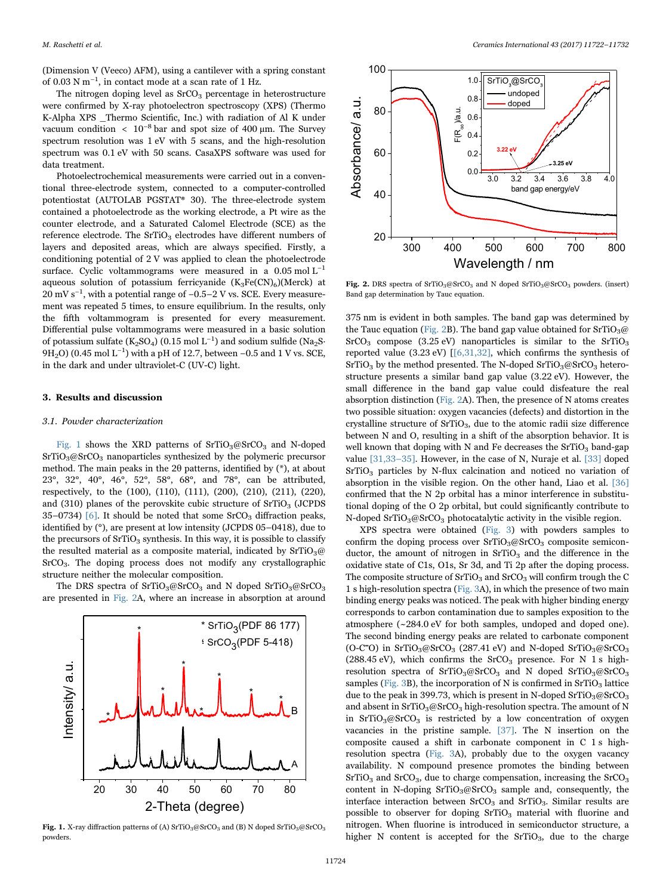(Dimension V (Veeco) AFM), using a cantilever with a spring constant of 0.03 N m−<sup>1</sup> , in contact mode at a scan rate of 1 Hz.

The nitrogen doping level as  $S<sub>2</sub>CO<sub>3</sub>$  percentage in heterostructure were confirmed by X-ray photoelectron spectroscopy (XPS) (Thermo K-Alpha XPS \_Thermo Scientific, Inc.) with radiation of Al K under vacuum condition <  $10^{-8}$  bar and spot size of 400 µm. The Survey spectrum resolution was 1 eV with 5 scans, and the high-resolution spectrum was 0.1 eV with 50 scans. CasaXPS software was used for data treatment.

Photoelectrochemical measurements were carried out in a conventional three-electrode system, connected to a computer-controlled potentiostat (AUTOLAB PGSTAT® 30). The three-electrode system contained a photoelectrode as the working electrode, a Pt wire as the counter electrode, and a Saturated Calomel Electrode (SCE) as the reference electrode. The  $SrTiO<sub>3</sub>$  electrodes have different numbers of layers and deposited areas, which are always specified. Firstly, a conditioning potential of 2 V was applied to clean the photoelectrode surface. Cyclic voltammograms were measured in a  $0.05 \text{ mol L}^{-1}$ aqueous solution of potassium ferricyanide  $(K_3Fe(CN)_6)(Merek)$  at 20 mV s<sup>-1</sup>, with a potential range of -0.5-2 V vs. SCE. Every measurement was repeated 5 times, to ensure equilibrium. In the results, only the fifth voltammogram is presented for every measurement. Differential pulse voltammograms were measured in a basic solution of potassium sulfate (K<sub>2</sub>SO<sub>4</sub>) (0.15 mol L<sup>-1</sup>) and sodium sulfide (Na<sub>2</sub>S· 9H<sub>2</sub>O) (0.45 mol L<sup>-1</sup>) with a pH of 12.7, between –0.5 and 1 V vs. SCE, in the dark and under ultraviolet-C (UV-C) light.

## 3. Results and discussion

## 3.1. Powder characterization

[Fig. 1](#page-2-0) shows the XRD patterns of  $SrTiO<sub>3</sub>@SrCO<sub>3</sub>$  and N-doped  $SrTiO<sub>3</sub>@SrCO<sub>3</sub>$  nanoparticles synthesized by the polymeric precursor method. The main peaks in the 2θ patterns, identified by (\*), at about 23°, 32°, 40°, 46°, 52°, 58°, 68°, and 78°, can be attributed, respectively, to the (100), (110), (111), (200), (210), (211), (220), and  $(310)$  planes of the perovskite cubic structure of SrTiO<sub>3</sub> (JCPDS) 35–0734) [\[6\]](#page-9-18). It should be noted that some  $S<sub>2</sub>$  solution peaks, identified by (°), are present at low intensity (JCPDS 05–0418), due to the precursors of  $SrTiO<sub>3</sub>$  synthesis. In this way, it is possible to classify the resulted material as a composite material, indicated by  $SrTiO<sub>3</sub>@$ SrCO3. The doping process does not modify any crystallographic structure neither the molecular composition.

The DRS spectra of SrTiO<sub>3</sub>@SrCO<sub>3</sub> and N doped SrTiO<sub>3</sub>@SrCO<sub>3</sub> are presented in [Fig. 2A](#page-2-1), where an increase in absorption at around

<span id="page-2-0"></span>

Fig. 1. X-ray diffraction patterns of (A)  $\rm SrTiO_3@SrCO_3$  and (B) N doped  $\rm SrTiO_3@SrCO_3$ powders.

<span id="page-2-1"></span>

Fig. 2. DRS spectra of SrTiO<sub>3</sub>@SrCO<sub>3</sub> and N doped SrTiO<sub>3</sub>@SrCO<sub>3</sub> powders. (insert) Band gap determination by Tauc equation.

375 nm is evident in both samples. The band gap was determined by the Tauc equation ([Fig. 2B](#page-2-1)). The band gap value obtained for  $SrTiO<sub>3</sub>@$  $SrCO<sub>3</sub>$  compose (3.25 eV) nanoparticles is similar to the SrTiO<sub>3</sub> reported value (3.23 eV)  $[$ [6,31,32], which confirms the synthesis of  $SrTiO<sub>3</sub>$  by the method presented. The N-doped  $SrTiO<sub>3</sub>@SrCO<sub>3</sub> hetero$ structure presents a similar band gap value (3.22 eV). However, the small difference in the band gap value could disfeature the real absorption distinction ([Fig. 2A](#page-2-1)). Then, the presence of N atoms creates two possible situation: oxygen vacancies (defects) and distortion in the crystalline structure of  $SrTiO<sub>3</sub>$ , due to the atomic radii size difference between N and O, resulting in a shift of the absorption behavior. It is well known that doping with N and Fe decreases the  $SrTiO<sub>3</sub>$  band-gap value [\[31,33](#page-9-19)–35]. However, in the case of N, Nuraje et al. [\[33\]](#page-9-20) doped SrTiO<sub>3</sub> particles by N-flux calcination and noticed no variation of absorption in the visible region. On the other hand, Liao et al. [\[36\]](#page-9-21) confirmed that the N 2p orbital has a minor interference in substitutional doping of the O 2p orbital, but could significantly contribute to N-doped SrTiO<sub>3</sub>@SrCO<sub>3</sub> photocatalytic activity in the visible region.

XPS spectra were obtained ([Fig. 3](#page-3-0)) with powders samples to confirm the doping process over  $SrTiO<sub>3</sub> \omega SrCO<sub>3</sub>$  composite semiconductor, the amount of nitrogen in  $SrTiO<sub>3</sub>$  and the difference in the oxidative state of C1s, O1s, Sr 3d, and Ti 2p after the doping process. The composite structure of  $SrTiO<sub>3</sub>$  and  $SrCO<sub>3</sub>$  will confirm trough the C 1 s high-resolution spectra [\(Fig. 3](#page-3-0)A), in which the presence of two main binding energy peaks was noticed. The peak with higher binding energy corresponds to carbon contamination due to samples exposition to the atmosphere (~284.0 eV for both samples, undoped and doped one). The second binding energy peaks are related to carbonate component (O-C $\bar{O}$ ) in SrTiO<sub>3</sub>@SrCO<sub>3</sub> (287.41 eV) and N-doped SrTiO<sub>3</sub>@SrCO<sub>3</sub> (288.45 eV), which confirms the  $SrCO<sub>3</sub>$  presence. For N 1 s highresolution spectra of SrTiO<sub>3</sub>@SrCO<sub>3</sub> and N doped SrTiO<sub>3</sub>@SrCO<sub>3</sub> samples [\(Fig. 3](#page-3-0)B), the incorporation of N is confirmed in  $SrTiO<sub>3</sub>$  lattice due to the peak in 399.73, which is present in N-doped  $\rm SrTiO<sub>3</sub>@SrCO<sub>3</sub>$ and absent in  $SrTiO<sub>3</sub>@SrCO<sub>3</sub> high-resolution spectra. The amount of N$ in  $SrTiO<sub>3</sub>@SrCO<sub>3</sub>$  is restricted by a low concentration of oxygen vacancies in the pristine sample. [\[37\].](#page-9-22) The N insertion on the composite caused a shift in carbonate component in C 1 s highresolution spectra [\(Fig. 3](#page-3-0)A), probably due to the oxygen vacancy availability. N compound presence promotes the binding between  $SrTiO<sub>3</sub>$  and  $SrCO<sub>3</sub>$ , due to charge compensation, increasing the  $SrCO<sub>3</sub>$ content in N-doping  $SrTiO<sub>3</sub>@SrCO<sub>3</sub>$  sample and, consequently, the interface interaction between  $SrCO<sub>3</sub>$  and  $SrTiO<sub>3</sub>$ . Similar results are possible to observer for doping  $SrTiO<sub>3</sub>$  material with fluorine and nitrogen. When fluorine is introduced in semiconductor structure, a higher N content is accepted for the  $SrTiO<sub>3</sub>$ , due to the charge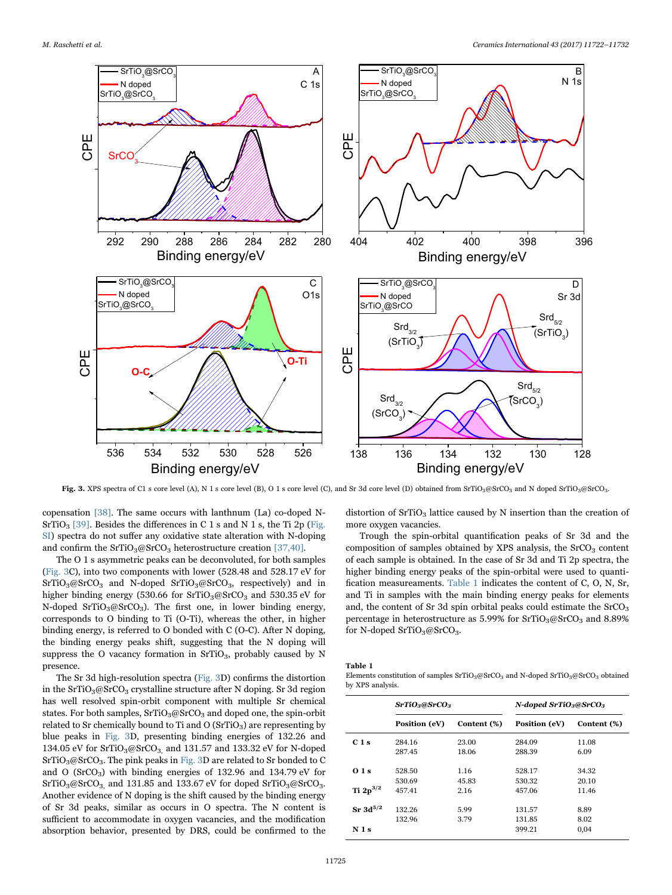<span id="page-3-0"></span>

Fig. 3. XPS spectra of C1 s core level (A), N 1 s core level (B), O 1 s core level (C), and Sr 3d core level (D) obtained from SrTiO<sub>3</sub>@SrCO<sub>3</sub> and N doped SrTiO<sub>3</sub>@SrCO<sub>3</sub>.

copensation [\[38\]](#page-9-23). The same occurs with lanthnum (La) co-doped N- $SrTiO<sub>3</sub>$  [\[39\]](#page-9-24). Besides the differences in C 1 s and N 1 s, the Ti 2p (Fig. SI) spectra do not suffer any oxidative state alteration with N-doping and confirm the SrTiO<sub>3</sub>@SrCO<sub>3</sub> heterostructure creation [\[37,40\]](#page-9-22).

The O 1 s asymmetric peaks can be deconvoluted, for both samples ([Fig. 3](#page-3-0)C), into two components with lower (528.48 and 528.17 eV for  $SrTiO<sub>3</sub>@SrCO<sub>3</sub>$  and N-doped  $SrTiO<sub>3</sub>@SrCO<sub>3</sub>$ , respectively) and in higher binding energy (530.66 for  $SrTiO<sub>3</sub>@SrCO<sub>3</sub>$  and 530.35 eV for N-doped SrTiO<sub>3</sub>@SrCO<sub>3</sub>). The first one, in lower binding energy, corresponds to O binding to Ti (O-Ti), whereas the other, in higher binding energy, is referred to O bonded with C (O-C). After N doping, the binding energy peaks shift, suggesting that the N doping will suppress the O vacancy formation in  $SrTiO<sub>3</sub>$ , probably caused by N presence.

The Sr 3d high-resolution spectra [\(Fig. 3](#page-3-0)D) confirms the distortion in the  $SrTiO<sub>3</sub>@SrCO<sub>3</sub> crystalline structure after N doping. Sr 3d region$ has well resolved spin-orbit component with multiple Sr chemical states. For both samples,  $SrTiO<sub>3</sub>@SrCO<sub>3</sub>$  and doped one, the spin-orbit related to Sr chemically bound to Ti and  $O(SrTiO<sub>3</sub>)$  are representing by blue peaks in [Fig. 3](#page-3-0)D, presenting binding energies of 132.26 and 134.05 eV for SrTiO<sub>3</sub>@SrCO<sub>3</sub>, and 131.57 and 133.32 eV for N-doped SrTiO3@SrCO3. The pink peaks in [Fig. 3D](#page-3-0) are related to Sr bonded to C and O (SrCO3) with binding energies of 132.96 and 134.79 eV for  $SrTiO<sub>3</sub>@SrCO<sub>3</sub>$  and 131.85 and 133.67 eV for doped  $SrTiO<sub>3</sub>@SrCO<sub>3</sub>$ . Another evidence of N doping is the shift caused by the binding energy of Sr 3d peaks, similar as occurs in O spectra. The N content is sufficient to accommodate in oxygen vacancies, and the modification absorption behavior, presented by DRS, could be confirmed to the

distortion of  $SrTiO<sub>3</sub>$  lattice caused by N insertion than the creation of more oxygen vacancies.

Trough the spin-orbital quantification peaks of Sr 3d and the composition of samples obtained by XPS analysis, the  $S<sub>1</sub>CO<sub>3</sub>$  content of each sample is obtained. In the case of Sr 3d and Ti 2p spectra, the higher binding energy peaks of the spin-orbital were used to quantification measureaments. [Table 1](#page-3-1) indicates the content of C, O, N, Sr, and Ti in samples with the main binding energy peaks for elements and, the content of Sr 3d spin orbital peaks could estimate the  $SrCO<sub>3</sub>$ percentage in heterostructure as  $5.99\%$  for  $SrTiO<sub>3</sub>@SrCO<sub>3</sub>$  and  $8.89\%$ for N-doped SrTiO<sub>3</sub>@SrCO<sub>3</sub>.

<span id="page-3-1"></span>Table 1

Elements constitution of samples  $SrTiO_3@SrCO_3$  and N-doped  $SrTiO_3@SrCO_3$  obtained by XPS analysis.

|               | SrTiO <sub>3</sub> @SrCO <sub>3</sub> |             | N-doped $SrTiO3@SrCO3$ |             |  |
|---------------|---------------------------------------|-------------|------------------------|-------------|--|
|               | Position (eV)                         | Content (%) | Position (eV)          | Content (%) |  |
| $C1$ s        | 284.16                                | 23.00       | 284.09                 | 11.08       |  |
|               | 287.45                                | 18.06       | 288.39                 | 6.09        |  |
| 01s           | 528.50                                | 1.16        | 528.17                 | 34.32       |  |
|               | 530.69                                | 45.83       | 530.32                 | 20.10       |  |
| Ti $2p^{3/2}$ | 457.41                                | 2.16        | 457.06                 | 11.46       |  |
| $Sr~3d^{5/2}$ | 132.26                                | 5.99        | 131.57                 | 8.89        |  |
|               | 132.96                                | 3.79        | 131.85                 | 8.02        |  |
| N 1s          |                                       |             | 399.21                 | 0.04        |  |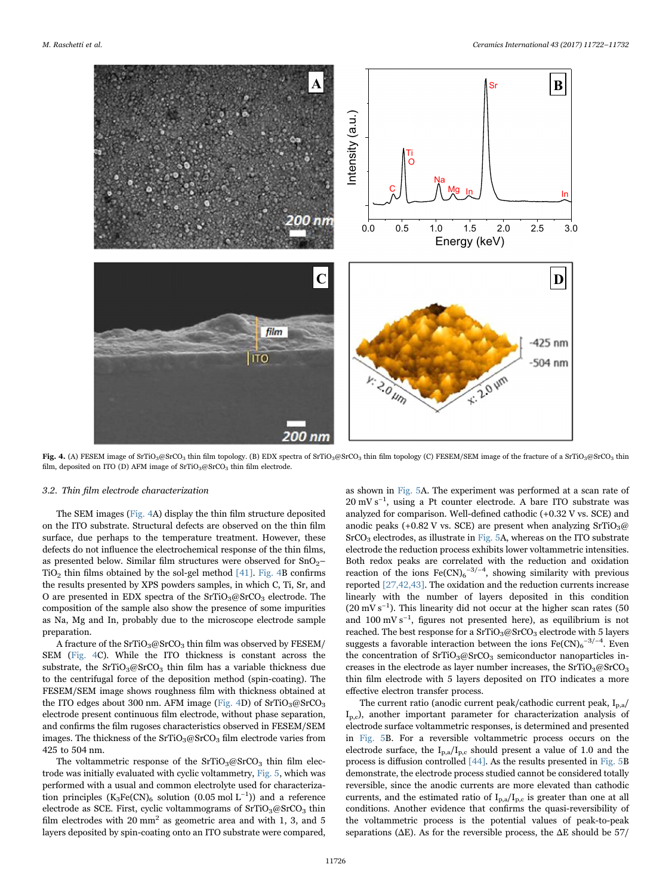<span id="page-4-0"></span>

Fig. 4. (A) FESEM image of SrTiO<sub>3</sub>@SrCO<sub>3</sub> thin film topology. (B) EDX spectra of SrTiO<sub>3</sub>@SrCO<sub>3</sub> thin film topology (C) FESEM/SEM image of the fracture of a SrTiO<sub>3</sub>@SrCO<sub>3</sub> thin film, deposited on ITO (D) AFM image of SrTiO<sub>3</sub>@SrCO<sub>3</sub> thin film electrode.

#### 3.2. Thin film electrode characterization

The SEM images [\(Fig. 4](#page-4-0)A) display the thin film structure deposited on the ITO substrate. Structural defects are observed on the thin film surface, due perhaps to the temperature treatment. However, these defects do not influence the electrochemical response of the thin films, as presented below. Similar film structures were observed for  $SnO<sub>2</sub>$  $TiO<sub>2</sub>$  thin films obtained by the sol-gel method [\[41\]](#page-9-25). [Fig. 4B](#page-4-0) confirms the results presented by XPS powders samples, in which C, Ti, Sr, and O are presented in EDX spectra of the  $SrTiO<sub>3</sub>@SrCO<sub>3</sub> electrode$ . The composition of the sample also show the presence of some impurities as Na, Mg and In, probably due to the microscope electrode sample preparation.

A fracture of the  $SrTiO<sub>3</sub>@SrCO<sub>3</sub>$  thin film was observed by FESEM/ SEM [\(Fig. 4](#page-4-0)C). While the ITO thickness is constant across the substrate, the  $SrTiO<sub>3</sub>@SrCO<sub>3</sub>$  thin film has a variable thickness due to the centrifugal force of the deposition method (spin-coating). The FESEM/SEM image shows roughness film with thickness obtained at the ITO edges about 300 nm. AFM image ([Fig. 4D](#page-4-0)) of  $SrTiO<sub>3</sub>@SrCO<sub>3</sub>$ electrode present continuous film electrode, without phase separation, and confirms the film rugoses characteristics observed in FESEM/SEM images. The thickness of the  $SrTiO<sub>3</sub>@SrCO<sub>3</sub> film electrode varies from$ 425 to 504 nm.

The voltammetric response of the  $SrTiO<sub>3</sub>@SrCO<sub>3</sub>$  thin film electrode was initially evaluated with cyclic voltammetry, [Fig. 5,](#page-5-0) which was performed with a usual and common electrolyte used for characterization principles (K<sub>3</sub>Fe(CN)<sub>6</sub> solution (0.05 mol L<sup>-1</sup>)) and a reference electrode as SCE. First, cyclic voltammograms of  $SrTiO<sub>3</sub>@SrCO<sub>3</sub>$  thin film electrodes with  $20 \text{ mm}^2$  as geometric area and with 1, 3, and 5 layers deposited by spin-coating onto an ITO substrate were compared,

as shown in [Fig. 5](#page-5-0)A. The experiment was performed at a scan rate of 20 mV s<sup>-1</sup>, using a Pt counter electrode. A bare ITO substrate was analyzed for comparison. Well-defined cathodic (+0.32 V vs. SCE) and anodic peaks (+0.82 V vs. SCE) are present when analyzing  $SrTiO<sub>3</sub>@$  $SrCO<sub>3</sub>$  electrodes, as illustrate in [Fig. 5A](#page-5-0), whereas on the ITO substrate electrode the reduction process exhibits lower voltammetric intensities. Both redox peaks are correlated with the reduction and oxidation reaction of the ions  $\text{Fe(CN)}_6^{-3/-4}$ , showing similarity with previous reported [\[27,42,43\]](#page-9-16). The oxidation and the reduction currents increase linearly with the number of layers deposited in this condition  $(20 \text{ mV s}^{-1})$ . This linearity did not occur at the higher scan rates (50 and 100 mV s−<sup>1</sup> , figures not presented here), as equilibrium is not reached. The best response for a  $SrTiO<sub>3</sub>@SrCO<sub>3</sub> electrode with 5 layers$ suggests a favorable interaction between the ions  $\text{Fe(CN)}_6^{-3/-4}$ . Even the concentration of  $SrTiO<sub>3</sub>@SrCO<sub>3</sub>$  semiconductor nanoparticles increases in the electrode as layer number increases, the  $SrTiO<sub>3</sub>@SrCO<sub>3</sub>$ thin film electrode with 5 layers deposited on ITO indicates a more effective electron transfer process.

The current ratio (anodic current peak/cathodic current peak, Ip,a/ Ip,c), another important parameter for characterization analysis of electrode surface voltammetric responses, is determined and presented in [Fig. 5B](#page-5-0). For a reversible voltammetric process occurs on the electrode surface, the  $I_{p,a}/I_{p,c}$  should present a value of 1.0 and the process is diffusion controlled [\[44\]](#page-10-0). As the results presented in [Fig. 5](#page-5-0)B demonstrate, the electrode process studied cannot be considered totally reversible, since the anodic currents are more elevated than cathodic currents, and the estimated ratio of  $I_{p,a}/I_{p,c}$  is greater than one at all conditions. Another evidence that confirms the quasi-reversibility of the voltammetric process is the potential values of peak-to-peak separations ( $\Delta E$ ). As for the reversible process, the  $\Delta E$  should be 57/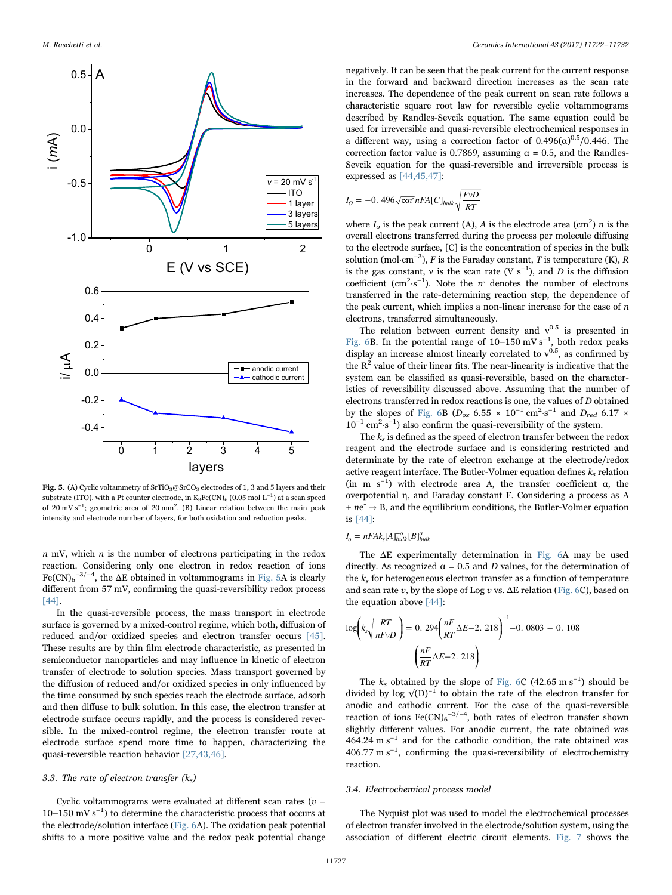<span id="page-5-0"></span>

Fig. 5. (A) Cyclic voltammetry of SrTiO<sub>3</sub>@SrCO<sub>3</sub> electrodes of 1, 3 and 5 layers and their substrate (ITO), with a Pt counter electrode, in  $\mathrm{K_3Fe(CN)_6}$  (0.05 mol  $\mathrm{L^{-1}}$ ) at a scan speed of 20 mV s<sup>-1</sup>; geometric area of 20 mm<sup>2</sup>. (B) Linear relation between the main peak intensity and electrode number of layers, for both oxidation and reduction peaks.

 $n$  mV, which  $n$  is the number of electrons participating in the redox reaction. Considering only one electron in redox reaction of ions  $\text{Fe(CN)}_6$ <sup>-3/-4</sup>, the  $\Delta E$  obtained in voltammograms in [Fig. 5](#page-5-0)A is clearly different from 57 mV, confirming the quasi-reversibility redox process [\[44\].](#page-10-0)

In the quasi-reversible process, the mass transport in electrode surface is governed by a mixed-control regime, which both, diffusion of reduced and/or oxidized species and electron transfer occurs [\[45\].](#page-10-1) These results are by thin film electrode characteristic, as presented in semiconductor nanoparticles and may influence in kinetic of electron transfer of electrode to solution species. Mass transport governed by the diffusion of reduced and/or oxidized species in only influenced by the time consumed by such species reach the electrode surface, adsorb and then diffuse to bulk solution. In this case, the electron transfer at electrode surface occurs rapidly, and the process is considered reversible. In the mixed-control regime, the electron transfer route at electrode surface spend more time to happen, characterizing the quasi-reversible reaction behavior [\[27,43,46\].](#page-9-16)

#### 3.3. The rate of electron transfer  $(k<sub>s</sub>)$

Cyclic voltammograms were evaluated at different scan rates ( $v =$ 10–150 mV s−<sup>1</sup> ) to determine the characteristic process that occurs at the electrode/solution interface [\(Fig. 6](#page-6-0)A). The oxidation peak potential shifts to a more positive value and the redox peak potential change

negatively. It can be seen that the peak current for the current response in the forward and backward direction increases as the scan rate increases. The dependence of the peak current on scan rate follows a characteristic square root law for reversible cyclic voltammograms described by Randles-Sevcik equation. The same equation could be used for irreversible and quasi-reversible electrochemical responses in a different way, using a correction factor of  $0.496(\alpha)^{0.5}/0.446$ . The correction factor value is 0.7869, assuming  $\alpha = 0.5$ , and the Randles-Sevcik equation for the quasi-reversible and irreversible process is expressed as [\[44,45,47\]](#page-10-0):

$$
I_O = -0.496\sqrt{\alpha n} nFA[C]_{bulk} \sqrt{\frac{FvD}{RT}}
$$

where  $I_o$  is the peak current (A), A is the electrode area (cm<sup>2</sup>) n is the overall electrons transferred during the process per molecule diffusing to the electrode surface, [C] is the concentration of species in the bulk solution (mol·cm<sup>-3</sup>), F is the Faraday constant, T is temperature (K), R is the gas constant, v is the scan rate (V s<sup>-1</sup>), and D is the diffusion coefficient (cm<sup>2</sup>·s<sup>-1</sup>). Note the *n*<sup>*n*</sup> denotes the number of electrons transferred in the rate-determining reaction step, the dependence of the peak current, which implies a non-linear increase for the case of  $n$ electrons, transferred simultaneously.

The relation between current density and  $v^{0.5}$  is presented in [Fig. 6B](#page-6-0). In the potential range of  $10-150$  mV s<sup>-1</sup>, both redox peaks display an increase almost linearly correlated to  $v^{0.5}$ , as confirmed by the  $R<sup>2</sup>$  value of their linear fits. The near-linearity is indicative that the system can be classified as quasi-reversible, based on the characteristics of reversibility discussed above. Assuming that the number of electrons transferred in redox reactions is one, the values of D obtained by the slopes of [Fig. 6B](#page-6-0) ( $D_{ox}$  6.55 × 10<sup>-1</sup> cm<sup>2</sup>·s<sup>-1</sup> and  $D_{red}$  6.17 × 10−<sup>1</sup> cm<sup>2</sup> ·s−<sup>1</sup> ) also confirm the quasi-reversibility of the system.

The  $k<sub>s</sub>$  is defined as the speed of electron transfer between the redox reagent and the electrode surface and is considering restricted and determinate by the rate of electron exchange at the electrode/redox active reagent interface. The Butler-Volmer equation defines  $k_s$  relation (in m s<sup>-1</sup>) with electrode area A, the transfer coefficient  $\alpha$ , the overpotential η, and Faraday constant F. Considering a process as A  $+ ne^- \rightarrow B$ , and the equilibrium conditions, the Butler-Volmer equation is [\[44\]](#page-10-0):

$$
I_o = nFAk_s[A]_{bulk}^{-\alpha}[B]_{bulk}^{\alpha}
$$

The ΔE experimentally determination in [Fig. 6A](#page-6-0) may be used directly. As recognized  $\alpha = 0.5$  and D values, for the determination of the  $k<sub>s</sub>$  for heterogeneous electron transfer as a function of temperature and scan rate  $v$ , by the slope of Log  $v$  vs.  $\Delta E$  relation [\(Fig. 6](#page-6-0)C), based on the equation above [\[44\]](#page-10-0):

$$
\log\left(k_s \sqrt{\frac{RT}{nFvD}}\right) = 0.294 \left(\frac{nF}{RT} \Delta E - 2.218\right)^{-1} - 0.0803 - 0.108
$$

$$
\left(\frac{nF}{RT} \Delta E - 2.218\right)
$$

The  $k_s$  obtained by the slope of [Fig. 6C](#page-6-0) (42.65 m s<sup>-1</sup>) should be divided by log  $\sqrt{(D)^{-1}}$  to obtain the rate of the electron transfer for anodic and cathodic current. For the case of the quasi-reversible reaction of ions  $\text{Fe(CN)}_6$ <sup>-3/-4</sup>, both rates of electron transfer shown slightly different values. For anodic current, the rate obtained was 464.24 m  $s^{-1}$  and for the cathodic condition, the rate obtained was  $406.77 \text{ m s}^{-1}$ , confirming the quasi-reversibility of electrochemistry reaction.

#### 3.4. Electrochemical process model

The Nyquist plot was used to model the electrochemical processes of electron transfer involved in the electrode/solution system, using the association of different electric circuit elements. [Fig. 7](#page-7-0) shows the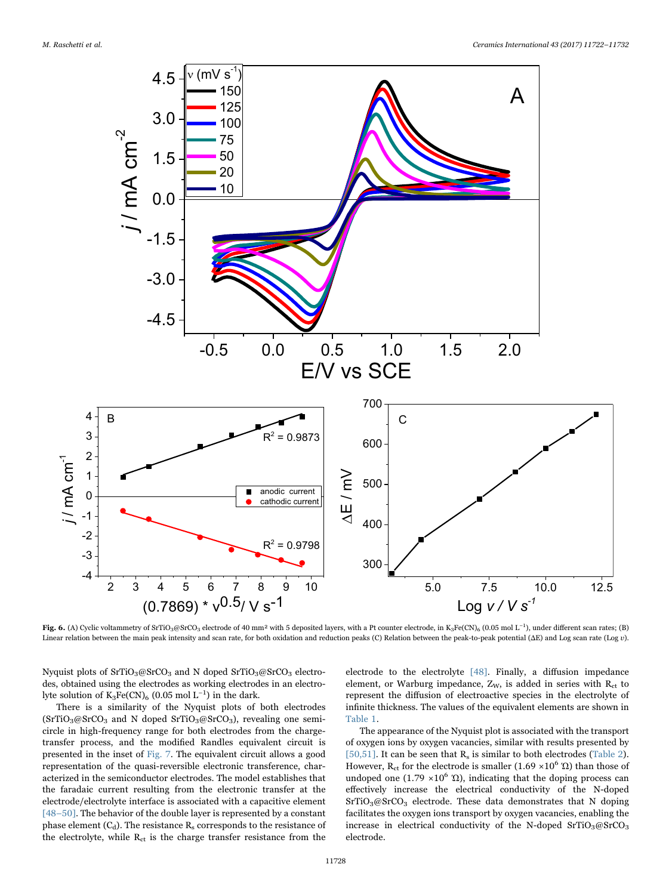<span id="page-6-0"></span>

Fig. 6. (A) Cyclic voltammetry of SrTiO3@SrCO3 electrode of 40 mm<sup>2</sup> with 5 deposited layers, with a Pt counter electrode, in K3Fe(CN)<sub>6</sub> (0.05 mol L<sup>-1</sup>), under different scan rates; (B) Linear relation between the main peak intensity and scan rate, for both oxidation and reduction peaks (C) Relation between the peak-to-peak potential (ΔE) and Log scan rate (Log v).

Nyquist plots of SrTiO<sub>3</sub>@SrCO<sub>3</sub> and N doped SrTiO<sub>3</sub>@SrCO<sub>3</sub> electrodes, obtained using the electrodes as working electrodes in an electrolyte solution of  $K_3Fe(CN)_6$  (0.05 mol L<sup>-1</sup>) in the dark.

There is a similarity of the Nyquist plots of both electrodes  $(SrTiO<sub>3</sub>@SrCO<sub>3</sub>$  and N doped  $SrTiO<sub>3</sub>@SrCO<sub>3</sub>$ ), revealing one semicircle in high-frequency range for both electrodes from the chargetransfer process, and the modified Randles equivalent circuit is presented in the inset of [Fig. 7](#page-7-0). The equivalent circuit allows a good representation of the quasi-reversible electronic transference, characterized in the semiconductor electrodes. The model establishes that the faradaic current resulting from the electronic transfer at the electrode/electrolyte interface is associated with a capacitive element [48–[50\]](#page-10-2). The behavior of the double layer is represented by a constant phase element  $(C_d)$ . The resistance  $R_s$  corresponds to the resistance of the electrolyte, while  $R_{ct}$  is the charge transfer resistance from the

electrode to the electrolyte [\[48\]](#page-10-2). Finally, a diffusion impedance element, or Warburg impedance,  $Z_W$ , is added in series with  $R_{ct}$  to represent the diffusion of electroactive species in the electrolyte of infinite thickness. The values of the equivalent elements are shown in [Table 1.](#page-3-1)

The appearance of the Nyquist plot is associated with the transport of oxygen ions by oxygen vacancies, similar with results presented by [\[50,51\]](#page-10-3). It can be seen that  $R_s$  is similar to both electrodes [\(Table 2](#page-7-1)). However, R<sub>ct</sub> for the electrode is smaller (1.69  $\times$ 10<sup>6</sup> Ώ) than those of undoped one (1.79  $\times 10^6$  Ω), indicating that the doping process can effectively increase the electrical conductivity of the N-doped  $SrTiO<sub>3</sub>@SrCO<sub>3</sub> electrode. These data demonstrates that N doping$ facilitates the oxygen ions transport by oxygen vacancies, enabling the increase in electrical conductivity of the N-doped  $SrTiO<sub>3</sub>@SrCO<sub>3</sub>$ electrode.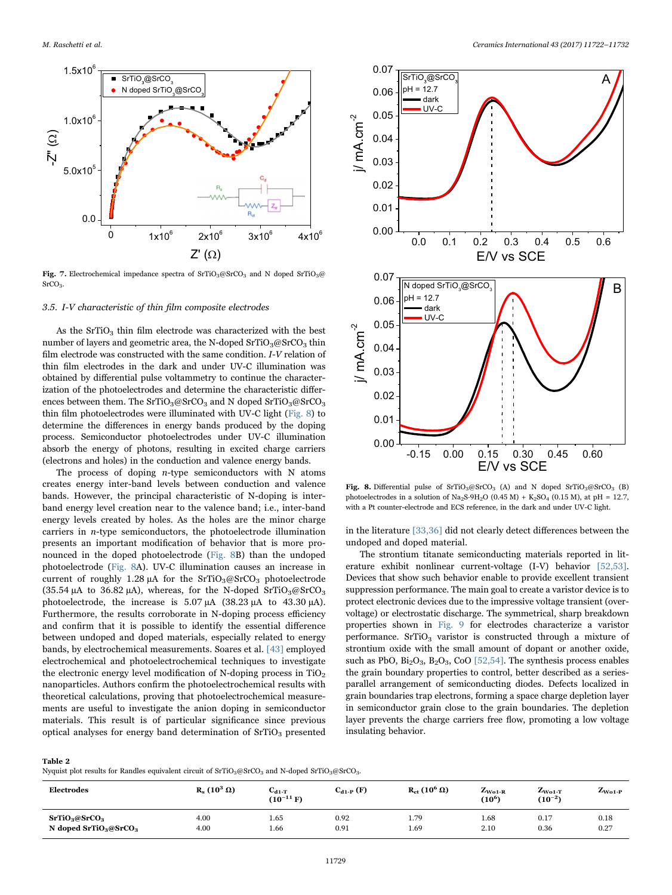<span id="page-7-0"></span>

Fig. 7. Electrochemical impedance spectra of  $SrTiO_3@SrCO_3$  and N doped  $SrTiO_3@$ SrCO3.

## 3.5. I-V characteristic of thin film composite electrodes

As the SrTiO<sub>3</sub> thin film electrode was characterized with the best number of layers and geometric area, the N-doped  $SrTiO<sub>3</sub>@SrCO<sub>3</sub>$  thin film electrode was constructed with the same condition. I-V relation of thin film electrodes in the dark and under UV-C illumination was obtained by differential pulse voltammetry to continue the characterization of the photoelectrodes and determine the characteristic differences between them. The  $SrTiO<sub>3</sub>@SrCO<sub>3</sub>$  and N doped  $SrTiO<sub>3</sub>@SrCO<sub>3</sub>$ thin film photoelectrodes were illuminated with UV-C light [\(Fig. 8\)](#page-7-2) to determine the differences in energy bands produced by the doping process. Semiconductor photoelectrodes under UV-C illumination absorb the energy of photons, resulting in excited charge carriers (electrons and holes) in the conduction and valence energy bands.

The process of doping  $n$ -type semiconductors with N atoms creates energy inter-band levels between conduction and valence bands. However, the principal characteristic of N-doping is interband energy level creation near to the valence band; i.e., inter-band energy levels created by holes. As the holes are the minor charge carriers in  $n$ -type semiconductors, the photoelectrode illumination presents an important modification of behavior that is more pronounced in the doped photoelectrode ([Fig. 8B](#page-7-2)) than the undoped photoelectrode ([Fig. 8A](#page-7-2)). UV-C illumination causes an increase in current of roughly 1.28 μA for the  $SrTiO<sub>3</sub>@SrCO<sub>3</sub> photoelectrode$ (35.54 μA to 36.82 μA), whereas, for the N-doped  $SrTiO<sub>3</sub>@SrCO<sub>3</sub>$ photoelectrode, the increase is 5.07 μA (38.23 μA to 43.30 μA). Furthermore, the results corroborate in N-doping process efficiency and confirm that it is possible to identify the essential difference between undoped and doped materials, especially related to energy bands, by electrochemical measurements. Soares et al. [\[43\]](#page-9-26) employed electrochemical and photoelectrochemical techniques to investigate the electronic energy level modification of N-doping process in  $TiO<sub>2</sub>$ nanoparticles. Authors confirm the photoelectrochemical results with theoretical calculations, proving that photoelectrochemical measurements are useful to investigate the anion doping in semiconductor materials. This result is of particular significance since previous optical analyses for energy band determination of SrTiO<sub>3</sub> presented

<span id="page-7-2"></span>

Fig. 8. Differential pulse of  $SrTiO_3@SrCO_3$  (A) and N doped  $SrTiO_3@SrCO_3$  (B) photoelectrodes in a solution of Na<sub>2</sub>S-9H<sub>2</sub>O (0.45 M) + K<sub>2</sub>SO<sub>4</sub> (0.15 M), at pH = 12.7, with a Pt counter-electrode and ECS reference, in the dark and under UV-C light.

in the literature [\[33,36\]](#page-9-20) did not clearly detect differences between the undoped and doped material.

The strontium titanate semiconducting materials reported in literature exhibit nonlinear current-voltage (I-V) behavior [\[52,53\]](#page-10-4). Devices that show such behavior enable to provide excellent transient suppression performance. The main goal to create a varistor device is to protect electronic devices due to the impressive voltage transient (overvoltage) or electrostatic discharge. The symmetrical, sharp breakdown properties shown in [Fig. 9](#page-8-0) for electrodes characterize a varistor performance.  $SrTiO<sub>3</sub>$  varistor is constructed through a mixture of strontium oxide with the small amount of dopant or another oxide, such as PbO, Bi<sub>2</sub>O<sub>3</sub>, B<sub>2</sub>O<sub>3</sub>, CoO [\[52,54\].](#page-10-4) The synthesis process enables the grain boundary properties to control, better described as a seriesparallel arrangement of semiconducting diodes. Defects localized in grain boundaries trap electrons, forming a space charge depletion layer in semiconductor grain close to the grain boundaries. The depletion layer prevents the charge carriers free flow, promoting a low voltage insulating behavior.

<span id="page-7-1"></span>

| I<br>٧ |  |
|--------|--|
|--------|--|

Nyquist plot results for Randles equivalent circuit of  $SrTiO_3@SrCO_3$  and N-doped  $SrTiO_3@SrCO_3$ .

| <b>Electrodes</b>                     | $R_s(10^3 \Omega)$ | $C_{d1-T}$<br>$(10^{-11} F)$ | $C_{d1-P}$ (F) | $R_{\text{ct}}(10^6 \Omega)$ | $L_{\text{Wo1-R}}$<br>(10 $^6$ ) | $Z_{\text{Wo1-T}}$<br>$(10^{-2})$ | $Z_{\text{Wo1-P}}$ |
|---------------------------------------|--------------------|------------------------------|----------------|------------------------------|----------------------------------|-----------------------------------|--------------------|
| SrTiO <sub>3</sub> @SrCO <sub>3</sub> | 4.00               | 1.65                         | 0.92           | 1.79                         | 1.68                             | 0.17                              | 0.18               |
| N doped $SrTiO3@SrCO3$                | 4.00               | 1.66                         | 0.91           | 1.69                         | 2.10                             | 0.36                              | 0.27               |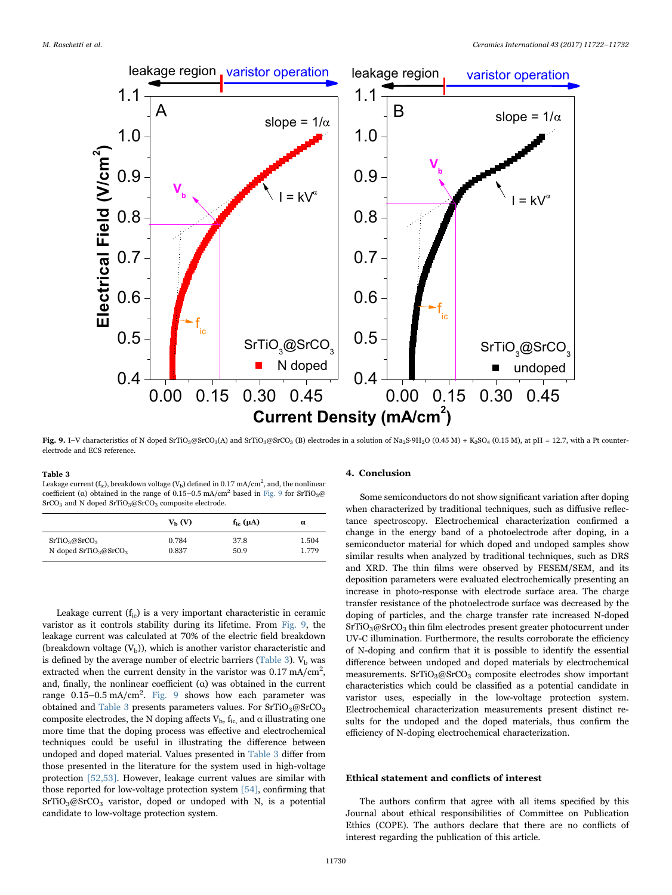<span id="page-8-0"></span>

Fig. 9. I–V characteristics of N doped SrTiO<sub>3</sub>@SrCO<sub>3</sub>(A) and SrTiO<sub>3</sub>@SrCO<sub>3</sub> (B) electrodes in a solution of Na<sub>2</sub>S·9H<sub>2</sub>O (0.45 M) + K<sub>2</sub>SO<sub>4</sub> (0.15 M), at pH = 12.7, with a Pt counterelectrode and ECS reference.

#### <span id="page-8-1"></span>Table 3

Leakage current (f<sub>ic</sub>), breakdown voltage (V<sub>b</sub>) defined in 0.17 mA/cm<sup>2</sup>, and, the nonlinear coefficient (α) obtained in the range of  $0.15-0.5$  mA/cm<sup>2</sup> based in [Fig. 9](#page-8-0) for SrTiO<sub>3</sub>@ SrCO<sub>3</sub> and N doped SrTiO<sub>3</sub>@SrCO<sub>3</sub> composite electrode.

|                                       | $V_{\rm b}$ (V) | $f_{ic}(\mu A)$ | α     |
|---------------------------------------|-----------------|-----------------|-------|
| SrTiO <sub>3</sub> @SrCO <sub>3</sub> | 0.784           | 37.8            | 1.504 |
| N doped $SrTiO3@SrCO3$                | 0.837           | 50.9            | 1.779 |

Leakage current  $(f_{ic})$  is a very important characteristic in ceramic varistor as it controls stability during its lifetime. From [Fig. 9](#page-8-0), the leakage current was calculated at 70% of the electric field breakdown (breakdown voltage  $(V<sub>b</sub>)$ ), which is another varistor characteristic and is defined by the average number of electric barriers ([Table 3\)](#page-8-1).  $V<sub>b</sub>$  was extracted when the current density in the varistor was  $0.17 \text{ mA/cm}^2$ , and, finally, the nonlinear coefficient  $(\alpha)$  was obtained in the current range 0.15-0.5 mA/cm<sup>2</sup>. [Fig. 9](#page-8-0) shows how each parameter was obtained and [Table 3](#page-8-1) presents parameters values. For  $SrTiO<sub>3</sub>@SrCO<sub>3</sub>$ composite electrodes, the N doping affects  $V_{\rm b}$ ,  $f_{\rm ic}$  and  $\alpha$  illustrating one more time that the doping process was effective and electrochemical techniques could be useful in illustrating the difference between undoped and doped material. Values presented in [Table 3](#page-8-1) differ from those presented in the literature for the system used in high-voltage protection [\[52,53\]](#page-10-4). However, leakage current values are similar with those reported for low-voltage protection system [\[54\],](#page-10-5) confirming that  $SrTiO<sub>3</sub>@SrCO<sub>3</sub>$  varistor, doped or undoped with N, is a potential candidate to low-voltage protection system.

## 4. Conclusion

Some semiconductors do not show significant variation after doping when characterized by traditional techniques, such as diffusive reflectance spectroscopy. Electrochemical characterization confirmed a change in the energy band of a photoelectrode after doping, in a semiconductor material for which doped and undoped samples show similar results when analyzed by traditional techniques, such as DRS and XRD. The thin films were observed by FESEM/SEM, and its deposition parameters were evaluated electrochemically presenting an increase in photo-response with electrode surface area. The charge transfer resistance of the photoelectrode surface was decreased by the doping of particles, and the charge transfer rate increased N-doped  $SrTiO<sub>3</sub>@SrCO<sub>3</sub> thin film electrodes present greater photocurrent under$ UV-C illumination. Furthermore, the results corroborate the efficiency of N-doping and confirm that it is possible to identify the essential difference between undoped and doped materials by electrochemical measurements.  $SrTiO<sub>3</sub>@SrCO<sub>3</sub>$  composite electrodes show important characteristics which could be classified as a potential candidate in varistor uses, especially in the low-voltage protection system. Electrochemical characterization measurements present distinct results for the undoped and the doped materials, thus confirm the efficiency of N-doping electrochemical characterization.

#### Ethical statement and conflicts of interest

The authors confirm that agree with all items specified by this Journal about ethical responsibilities of Committee on Publication Ethics (COPE). The authors declare that there are no conflicts of interest regarding the publication of this article.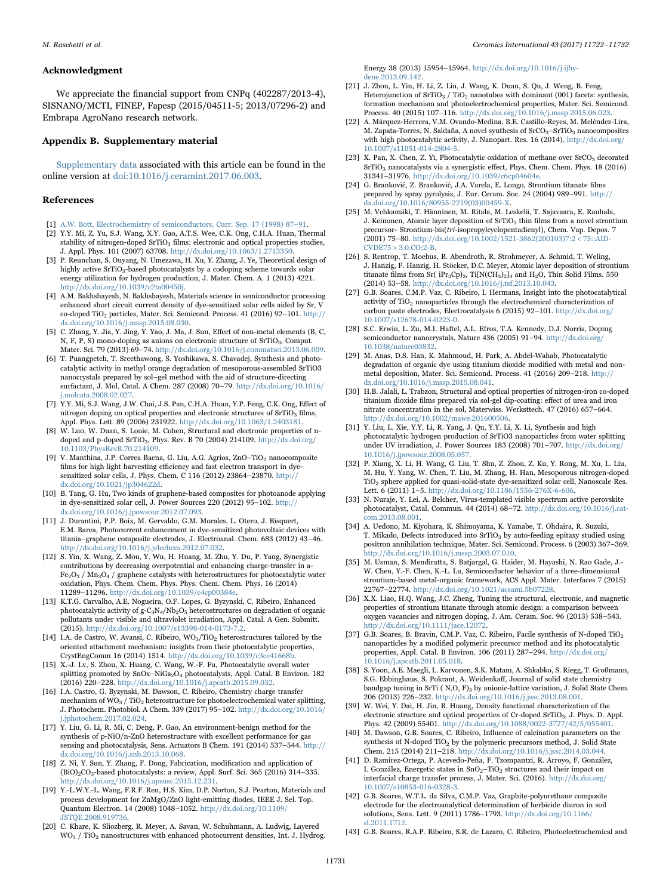## Acknowledgment

We appreciate the financial support from CNPq (402287/2013-4), SISNANO/MCTI, FINEP, Fapesp (2015/04511-5; 2013/07296-2) and Embrapa AgroNano research network.

#### Appendix B. Supplementary material

Supplementary data associated with this article can be found in the online version at [doi:10.1016/j.ceramint.2017.06.003.](http://dx.doi.org/10.1016/j.ceramint.2017.06.003)

### References

- <span id="page-9-0"></span>[1] [A.W. Bott, Electrochemistry of semiconductors, Curr. Sep. 17 \(1998\) 87](http://refhub.elsevier.com/S0272-8842(17)31206-3/sbref1)–91.
- <span id="page-9-1"></span>[2] Y.Y. Mi, Z. Yu, S.J. Wang, X.Y. Gao, A.T.S. Wee, C.K. Ong, C.H.A. Huan, Thermal stability of nitrogen-doped SrTiO<sub>3</sub> films: electronic and optical properties studies, J. Appl. Phys. 101 (2007) 63708. [http://dx.doi.org/10.1063/1.2713350.](http://dx.doi.org/10.1063/1.2713350)
- <span id="page-9-2"></span>[3] P. Reunchan, S. Ouyang, N. Umezawa, H. Xu, Y. Zhang, J. Ye, Theoretical design of highly active SrTiO<sub>3</sub>-based photocatalysts by a codoping scheme towards solar energy utilization for hydrogen production, J. Mater. Chem. A. 1 (2013) 4221. [http://dx.doi.org/10.1039/c2ta00450j.](http://dx.doi.org/10.1039/c2ta00450j)
- <span id="page-9-4"></span>[4] A.M. Bakhshayesh, N. Bakhshayesh, Materials science in semiconductor processing enhanced short circuit current density of dye-sensitized solar cells aided by Sr, V co-doped TiO<sub>2</sub> particles, Mater. Sci. Semicond. Process.  $41$  (2016) 92–101. [http://](http://dx.doi.org/10.1016/j.mssp.2015.08.030) [dx.doi.org/10.1016/j.mssp.2015.08.030.](http://dx.doi.org/10.1016/j.mssp.2015.08.030)
- <span id="page-9-3"></span>[5] C. Zhang, Y. Jia, Y. Jing, Y. Yao, J. Ma, J. Sun, Effect of non-metal elements (B, C, N, F, P, S) mono-doping as anions on electronic structure of SrTiO<sub>3</sub>, Comput.<br>Mater. Sci. 79 (2013) 69–74. [http://dx.doi.org/10.1016/j.commatsci.2013.06.009.](http://dx.doi.org/10.1016/j.commatsci.2013.06.009)
- <span id="page-9-18"></span>[6] T. Puangpetch, T. Sreethawong, S. Yoshikawa, S. Chavadej, Synthesis and photocatalytic activity in methyl orange degradation of mesoporous-assembled SrTiO3 nanocrystals prepared by sol–gel method with the aid of structure-directing surfactant, J. Mol. Catal. A Chem. 287 (2008) 70–79. [http://dx.doi.org/10.1016/](http://dx.doi.org/10.1016/j.molcata.2008.02.027) [j.molcata.2008.02.027.](http://dx.doi.org/10.1016/j.molcata.2008.02.027)
- <span id="page-9-15"></span>[7] Y.Y. Mi, S.J. Wang, J.W. Chai, J.S. Pan, C.H.A. Huan, Y.P. Feng, C.K. Ong, Effect of nitrogen doping on optical properties and electronic structures of  $SrTiO<sub>3</sub>$  films, Appl. Phys. Lett. 89 (2006) 231922. [http://dx.doi.org/10.1063/1.2403181.](http://dx.doi.org/10.1063/1.2403181)
- [8] W. Luo, W. Duan, S. Louie, M. Cohen, Structural and electronic properties of ndoped and p-doped SrTiO<sub>3</sub>, Phys. Rev. B 70 (2004) 214109. [http://dx.doi.org/](http://dx.doi.org/10.1103/PhysRevB.70.214109) [10.1103/PhysRevB.70.214109.](http://dx.doi.org/10.1103/PhysRevB.70.214109)
- <span id="page-9-5"></span>[9] V. Manthina, J.P. Correa Baena, G. Liu, A.G. Agrios, ZnO–TiO<sub>2</sub> nanocomposite films for high light harvesting efficiency and fast electron transport in dyesensitized solar cells, J. Phys. Chem. C 116 (2012) 23864–23870. [http://](http://dx.doi.org/10.1021/jp304622d) [dx.doi.org/10.1021/jp304622d.](http://dx.doi.org/10.1021/jp304622d)
- [10] B. Tang, G. Hu, Two kinds of graphene-based composites for photoanode applying in dye-sensitized solar cell, J. Power Sources 220 (2012) 95–102. [http://](http://dx.doi.org/10.1016/j.jpowsour.2012.07.093) [dx.doi.org/10.1016/j.jpowsour.2012.07.093.](http://dx.doi.org/10.1016/j.jpowsour.2012.07.093)
- [11] J. Durantini, P.P. Boix, M. Gervaldo, G.M. Morales, L. Otero, J. Bisquert, E.M. Barea, Photocurrent enhancement in dye-sensitized photovoltaic devices with titania–graphene composite electrodes, J. Electroanal. Chem. 683 (2012) 43–46. [http://dx.doi.org/10.1016/j.jelechem.2012.07.032.](http://dx.doi.org/10.1016/j.jelechem.2012.07.032)
- <span id="page-9-6"></span>[12] S. Yin, X. Wang, Z. Mou, Y. Wu, H. Huang, M. Zhu, Y. Du, P. Yang, Synergistic contributions by decreasing overpotential and enhancing charge-transfer in a- $Fe<sub>2</sub>O<sub>3</sub>$  / Mn<sub>3</sub>O<sub>4</sub> / graphene catalysts with heterostructures for photocatalytic water oxidation, Phys. Chem. Chem. Phys. Phys. Chem. Chem. Phys. 16 (2014) 11289–11296. [http://dx.doi.org/10.1039/c4cp00384e.](http://dx.doi.org/10.1039/c4cp00384e)
- [13] K.T.G. Carvalho, A.E. Nogueira, O.F. Lopes, G. Byzynski, C. Ribeiro, Enhanced photocatalytic activity of g-C<sub>3</sub>N<sub>4</sub>/Nb<sub>2</sub>O<sub>5</sub> heterostructures on degradation of organic pollutants under visible and ultraviolet irradiation, Appl. Catal. A Gen. Submitt. (2015). [http://dx.doi.org/10.1007/s13398-014-0173-7.2.](http://dx.doi.org/10.1007/s13398-014-0173-7.2)
- [14] I.A. de Castro, W. Avansi, C. Ribeiro,  $WO_3/TiO_2$  heterostructures tailored by the oriented attachment mechanism: insights from their photocatalytic properties, CrystEngComm 16 (2014) 1514. [http://dx.doi.org/10.1039/c3ce41668b.](http://dx.doi.org/10.1039/c3ce41668b)
- <span id="page-9-7"></span>[15] X.-J. Lv, S. Zhou, X. Huang, C. Wang, W.-F. Fu, Photocatalytic overall water splitting promoted by  $SnOx-NiGa_2O_4$  photocatalysts, Appl. Catal. B Environ. 182 (2016) 220–228. [http://dx.doi.org/10.1016/j.apcatb.2015.09.032.](http://dx.doi.org/10.1016/j.apcatb.2015.09.032)
- [16] I.A. Castro, G. Byzynski, M. Dawson, C. Ribeiro, Chemistry charge transfer mechanism of  $WO_3$  /  $TiO_2$  heterostructure for photoelectrochemical water splitting, J. Photochem. Photobiol. A Chem. 339 (2017) 95–102. [http://dx.doi.org/10.1016/](http://dx.doi.org/10.1016/j.jphotochem.2017.02.024) [j.jphotochem.2017.02.024.](http://dx.doi.org/10.1016/j.jphotochem.2017.02.024)
- <span id="page-9-8"></span>[17] Y. Liu, G. Li, R. Mi, C. Deng, P. Gao, An environment-benign method for the synthesis of p-NiO/n-ZnO heterostructure with excellent performance for gas sensing and photocatalysis, Sens. Actuators B Chem. 191 (2014) 537–544. [http://](http://dx.doi.org/10.1016/j.snb.2013.10.068) [dx.doi.org/10.1016/j.snb.2013.10.068.](http://dx.doi.org/10.1016/j.snb.2013.10.068)
- [18] Z. Ni, Y. Sun, Y. Zhang, F. Dong, Fabrication, modification and application of (BiO)2CO3-based photocatalysts: a review, Appl. Surf. Sci. 365 (2016) 314–335. [http://dx.doi.org/10.1016/j.apsusc.2015.12.231.](http://dx.doi.org/10.1016/j.apsusc.2015.12.231)
- <span id="page-9-9"></span>[19] Y.-L.W.Y.-L. Wang, F.R.F. Ren, H.S. Kim, D.P. Norton, S.J. Pearton, Materials and process development for ZnMgO/ZnO light-emitting diodes, IEEE J. Sel. Top. Quantum Electron. 14 (2008) 1048–1052. [http://dx.doi.org/10.1109/](http://dx.doi.org/10.1109/JSTQE.2008.919736) [JSTQE.2008.919736.](http://dx.doi.org/10.1109/JSTQE.2008.919736)
- <span id="page-9-10"></span>[20] C. Khare, K. Sliozberg, R. Meyer, A. Savan, W. Schuhmann, A. Ludwig, Layered WO<sub>3</sub> / TiO<sub>2</sub> nanostructures with enhanced photocurrent densities, Int. J. Hydrog.

Energy 38 (2013) 15954–15964. [http://dx.doi.org/10.1016/j.ijhy](http://dx.doi.org/10.1016/j.ijhydene.2013.09.142)[dene.2013.09.142.](http://dx.doi.org/10.1016/j.ijhydene.2013.09.142)

- <span id="page-9-11"></span>[21] J. Zhou, L. Yin, H. Li, Z. Liu, J. Wang, K. Duan, S. Qu, J. Weng, B. Feng, Heterojunction of  $SrTiO<sub>3</sub> / TiO<sub>2</sub>$  nanotubes with dominant (001) facets: synthesis, formation mechanism and photoelectrochemical properties, Mater. Sci. Semicond. Process. 40 (2015) 107–116. [http://dx.doi.org/10.1016/j.mssp.2015.06.023.](http://dx.doi.org/10.1016/j.mssp.2015.06.023)
- <span id="page-9-12"></span>[22] A. Márquez-Herrera, V.M. Ovando-Medina, B.E. Castillo-Reyes, M. Meléndez-Lira, M. Zapata-Torres, N. Saldaña, A novel synthesis of SrCO<sub>3</sub>–SrTiO<sub>3</sub> nanocomposites with high photocatalytic activity, J. Nanopart. Res. 16 (2014). [http://dx.doi.org/](http://dx.doi.org/10.1007/s11051-014-2804-5) [10.1007/s11051-014-2804-5.](http://dx.doi.org/10.1007/s11051-014-2804-5)
- <span id="page-9-13"></span>[23] X. Pan, X. Chen, Z. Yi, Photocatalytic oxidation of methane over SrCO<sub>3</sub> decorated SrTiO<sub>3</sub> nanocatalysts via a synergistic effect, Phys. Chem. Chem. Phys. 18 (2016) 31341–31976. [http://dx.doi.org/10.1039/c6cp04604e.](http://dx.doi.org/10.1039/c6cp04604e)
- <span id="page-9-14"></span>[24] G. Branković, Z. Branković, J.A. Varela, E. Longo, Strontium titanate films prepared by spray pyrolysis, J. Eur. Ceram. Soc. 24 (2004) 989–991. [http://](http://dx.doi.org/10.1016/S0955-2219(03)00459-X) [dx.doi.org/10.1016/S0955-2219\(03\)00459-X.](http://dx.doi.org/10.1016/S0955-2219(03)00459-X)
- [25] M. Vehkamäki, T. Hänninen, M. Ritala, M. Leskelä, T. Sajavaara, E. Rauhala, J. Keinonen, Atomic layer deposition of SrTiO<sub>3</sub> thin films from a novel strontium precursor- Strontium-bis(tri-isopropylcyclopentadienyl), Chem. Vap. Depos. 7 (2001) 75–80. [http://dx.doi.org/10.1002/1521-3862\(200103\)7:2 < 75::AID-](http://dx.doi.org/10.1002/1521-3862(200103)7:2	<	75::AID-CVDE75	>	3.0.CO;2-B) $CVDE75 > 3.0.CO:2-B.$
- [26] S. Rentrop, T. Moebus, B. Abendroth, R. Strohmeyer, A. Schmid, T. Weling, J. Hanzig, F. Hanzig, H. Stöcker, D.C. Meyer, Atomic layer deposition of strontium titanate films from Sr( $iPr_3Cp_2$ , Ti[N(CH<sub>3</sub>)<sub>2</sub>]<sub>4</sub> and H<sub>2</sub>O, Thin Solid Films. 550 (2014) 53–58. [http://dx.doi.org/10.1016/j.tsf.2013.10.043.](http://dx.doi.org/10.1016/j.tsf.2013.10.043)
- <span id="page-9-16"></span>[27] G.B. Soares, C.M.P. Vaz, C. Ribeiro, I. Hermans, Insight into the photocatalytical activity of TiO<sub>2</sub> nanoparticles through the electrochemical characterization of carbon paste electrodes, Electrocatalysis 6 (2015) 92-101. [http://dx.doi.org/](http://dx.doi.org/10.1007/s12678-014-0223-0) [10.1007/s12678-014-0223-0.](http://dx.doi.org/10.1007/s12678-014-0223-0)
- <span id="page-9-17"></span>[28] S.C. Erwin, L. Zu, M.I. Haftel, A.L. Efros, T.A. Kennedy, D.J. Norris, Doping semiconductor nanocrystals, Nature 436 (2005) 91-94. [http://dx.doi.org/](http://dx.doi.org/10.1038/nature03832) [10.1038/nature03832.](http://dx.doi.org/10.1038/nature03832)
- [29] M. Anas, D.S. Han, K. Mahmoud, H. Park, A. Abdel-Wahab, Photocatalytic degradation of organic dye using titanium dioxide modified with metal and nonmetal deposition, Mater. Sci. Semicond. Process. 41 (2016) 209–218. [http://](http://dx.doi.org/10.1016/j.mssp.2015.08.041) [dx.doi.org/10.1016/j.mssp.2015.08.041.](http://dx.doi.org/10.1016/j.mssp.2015.08.041)
- [30] H.B. Jalali, L. Trabzon, Structural and optical properties of nitrogen-iron co-doped titanium dioxide films prepared via sol-gel dip-coating: effect of urea and iron nitrate concentration in the sol, Materwiss. Werksttech. 47 (2016) 657–664. [http://dx.doi.org/10.1002/mawe.201600506.](http://dx.doi.org/10.1002/mawe.201600506)
- <span id="page-9-19"></span>[31] Y. Liu, L. Xie, Y.Y. Li, R. Yang, J. Qu, Y.Y. Li, X. Li, Synthesis and high photocatalytic hydrogen production of SrTiO3 nanoparticles from water splitting under UV irradiation, J. Power Sources 183 (2008) 701–707. [http://dx.doi.org/](http://dx.doi.org/10.1016/j.jpowsour.2008.05.057) [10.1016/j.jpowsour.2008.05.057.](http://dx.doi.org/10.1016/j.jpowsour.2008.05.057)
- [32] P. Xiang, X. Li, H. Wang, G. Liu, T. Shu, Z. Zhou, Z. Ku, Y. Rong, M. Xu, L. Liu, M. Hu, Y. Yang, W. Chen, T. Liu, M. Zhang, H. Han, Mesoporous nitrogen-doped TiO2 sphere applied for quasi-solid-state dye-sensitized solar cell, Nanoscale Res. Lett. 6 (2011) 1–5. [http://dx.doi.org/10.1186/1556-276X-6-606.](http://dx.doi.org/10.1186/1556-276X-6-606)
- <span id="page-9-20"></span>[33] N. Nuraje, Y. Lei, A. Belcher, Virus-templated visible spectrum active perovskite photocatalyst, Catal. Commun. 44 (2014) 68–72. [http://dx.doi.org/10.1016/j.cat](http://dx.doi.org/10.1016/j.catcom.2013.08.001)[com.2013.08.001.](http://dx.doi.org/10.1016/j.catcom.2013.08.001)
- [34] A. Uedono, M. Kiyohara, K. Shimoyama, K. Yamabe, T. Ohdaira, R. Suzuki, T. Mikado, Defects introduced into  $SrTiO<sub>3</sub>$  by auto-feeding epitaxy studied using positron annihilation technique, Mater. Sci. Semicond. Process. 6 (2003) 367–369. [http://dx.doi.org/10.1016/j.mssp.2003.07.010.](http://dx.doi.org/10.1016/j.mssp.2003.07.010)
- [35] M. Usman, S. Mendiratta, S. Batjargal, G. Haider, M. Hayashi, N. Rao Gade, J.- W. Chen, Y.-F. Chen, K.-L. Lu, Semiconductor behavior of a three-dimensional strontium-based metal-organic framework, ACS Appl. Mater. Interfaces 7 (2015) 22767–22774. [http://dx.doi.org/10.1021/acsami.5b07228.](http://dx.doi.org/10.1021/acsami.5b07228)
- <span id="page-9-21"></span>[36] X.X. Liao, H.Q. Wang, J.C. Zheng, Tuning the structural, electronic, and magnetic properties of strontium titanate through atomic design: a comparison between oxygen vacancies and nitrogen doping, J. Am. Ceram. Soc. 96 (2013) 538–543. [http://dx.doi.org/10.1111/jace.12072.](http://dx.doi.org/10.1111/jace.12072)
- <span id="page-9-22"></span>[37] G.B. Soares, B. Bravin, C.M.P. Vaz, C. Ribeiro, Facile synthesis of N-doped TiO<sub>2</sub> nanoparticles by a modified polymeric precursor method and its photocatalytic properties, Appl. Catal. B Environ. 106 (2011) 287–294. [http://dx.doi.org/](http://dx.doi.org/10.1016/j.apcatb.2011.05.018) [10.1016/j.apcatb.2011.05.018.](http://dx.doi.org/10.1016/j.apcatb.2011.05.018)
- <span id="page-9-23"></span>[38] S. Yoon, A.E. Maegli, L. Karvonen, S.K. Matam, A. Shkabko, S. Riegg, T. Großmann, S.G. Ebbinghaus, S. Pokrant, A. Weidenkaff, Journal of solid state chemistry bandgap tuning in SrTi ( N,O, F)<sub>3</sub> by anionic-lattice variation, J. Solid State Chem. 206 (2013) 226–232. [http://dx.doi.org/10.1016/j.jssc.2013.08.001.](http://dx.doi.org/10.1016/j.jssc.2013.08.001)
- <span id="page-9-24"></span>[39] W. Wei, Y. Dai, H. Jin, B. Huang, Density functional characterization of the electronic structure and optical properties of Cr-doped SrTiO3, J. Phys. D. Appl. Phys. 42 (2009) 55401. [http://dx.doi.org/10.1088/0022-3727/42/5/055401.](http://dx.doi.org/10.1088/0022-3727/42/5/055401)
- [40] M. Dawson, G.B. Soares, C. Ribeiro, Influence of calcination parameters on the synthesis of N-doped TiO<sub>2</sub> by the polymeric precursors method, J. Solid State Chem. 215 (2014) 211–218. [http://dx.doi.org/10.1016/j.jssc.2014.03.044.](http://dx.doi.org/10.1016/j.jssc.2014.03.044)
- <span id="page-9-25"></span>[41] D. Ramírez-Ortega, P. Acevedo-Peña, F. Tzompantzi, R. Arroyo, F. González, I. González, Energetic states in  $SnO_2-TiO_2$  structures and their impact on interfacial charge transfer process, J. Mater. Sci. (2016). [http://dx.doi.org/](http://dx.doi.org/10.1007/s10853-016-0328-3) [10.1007/s10853-016-0328-3.](http://dx.doi.org/10.1007/s10853-016-0328-3)
- [42] G.B. Soares, W.T.L. da Silva, C.M.P. Vaz, Graphite-polyurethane composite electrode for the electroanalytical determination of herbicide diuron in soil solutions, Sens. Lett. 9 (2011) 1786–1793. [http://dx.doi.org/10.1166/](http://dx.doi.org/10.1166/sl.2011.1712) [sl.2011.1712.](http://dx.doi.org/10.1166/sl.2011.1712)
- <span id="page-9-26"></span>[43] G.B. Soares, R.A.P. Ribeiro, S.R. de Lazaro, C. Ribeiro, Photoelectrochemical and